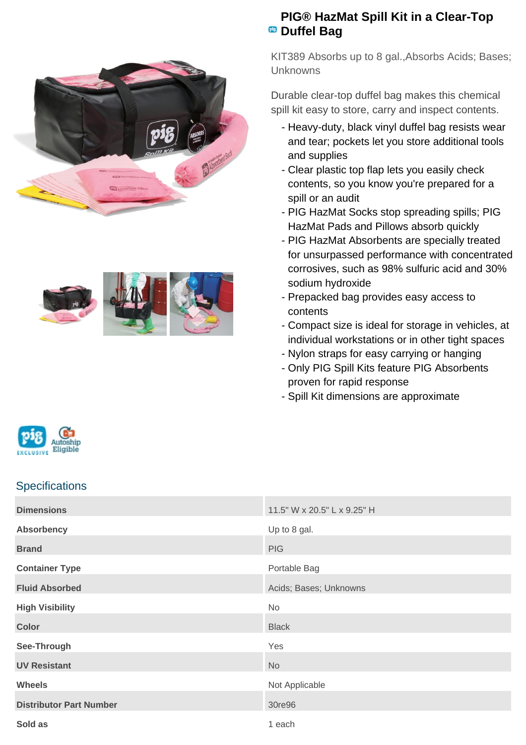



## **PIG® HazMat Spill Kit in a Clear-Top PB** Duffel Bag

KIT389 Absorbs up to 8 gal.,Absorbs Acids; Bases; Unknowns

Durable clear-top duffel bag makes this chemical spill kit easy to store, carry and inspect contents.

- Heavy-duty, black vinyl duffel bag resists wear and tear; pockets let you store additional tools and supplies
- Clear plastic top flap lets you easily check contents, so you know you're prepared for a spill or an audit
- PIG HazMat Socks stop spreading spills; PIG HazMat Pads and Pillows absorb quickly
- PIG HazMat Absorbents are specially treated for unsurpassed performance with concentrated corrosives, such as 98% sulfuric acid and 30% sodium hydroxide
- Prepacked bag provides easy access to contents
- Compact size is ideal for storage in vehicles, at individual workstations or in other tight spaces
- Nylon straps for easy carrying or hanging
- Only PIG Spill Kits feature PIG Absorbents proven for rapid response
- Spill Kit dimensions are approximate





## **Specifications**